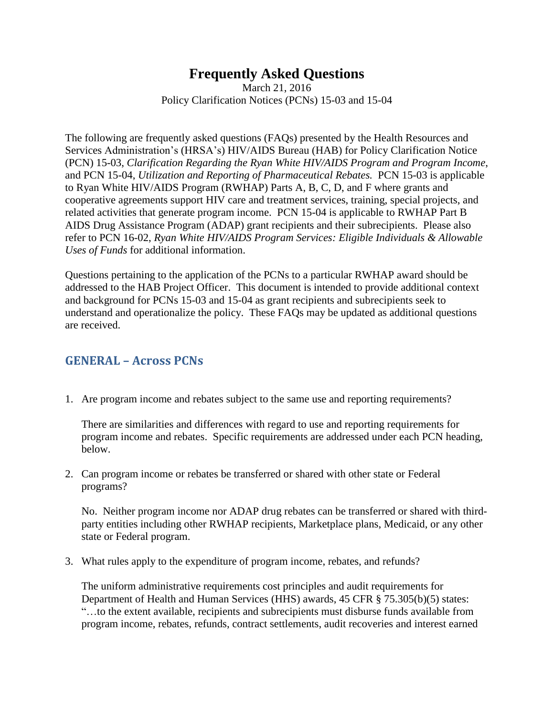# **Frequently Asked Questions**

March 21, 2016 Policy Clarification Notices (PCNs) 15-03 and 15-04

The following are frequently asked questions (FAQs) presented by the Health Resources and Services Administration's (HRSA's) HIV/AIDS Bureau (HAB) for Policy Clarification Notice (PCN) 15-03, *Clarification Regarding the Ryan White HIV/AIDS Program and Program Income*, and PCN 15-04, *Utilization and Reporting of Pharmaceutical Rebates.* PCN 15-03 is applicable to Ryan White HIV/AIDS Program (RWHAP) Parts A, B, C, D, and F where grants and cooperative agreements support HIV care and treatment services, training, special projects, and related activities that generate program income. PCN 15-04 is applicable to RWHAP Part B AIDS Drug Assistance Program (ADAP) grant recipients and their subrecipients. Please also refer to PCN 16-02, *Ryan White HIV/AIDS Program Services: Eligible Individuals & Allowable Uses of Funds* for additional information.

Questions pertaining to the application of the PCNs to a particular RWHAP award should be addressed to the HAB Project Officer. This document is intended to provide additional context and background for PCNs 15-03 and 15-04 as grant recipients and subrecipients seek to understand and operationalize the policy. These FAQs may be updated as additional questions are received.

#### **GENERAL – Across PCNs**

1. Are program income and rebates subject to the same use and reporting requirements?

There are similarities and differences with regard to use and reporting requirements for program income and rebates. Specific requirements are addressed under each PCN heading, below.

2. Can program income or rebates be transferred or shared with other state or Federal programs?

No. Neither program income nor ADAP drug rebates can be transferred or shared with thirdparty entities including other RWHAP recipients, Marketplace plans, Medicaid, or any other state or Federal program.

3. What rules apply to the expenditure of program income, rebates, and refunds?

The uniform administrative requirements cost principles and audit requirements for Department of Health and Human Services (HHS) awards, 45 CFR § 75.305(b)(5) states: "…to the extent available, recipients and subrecipients must disburse funds available from program income, rebates, refunds, contract settlements, audit recoveries and interest earned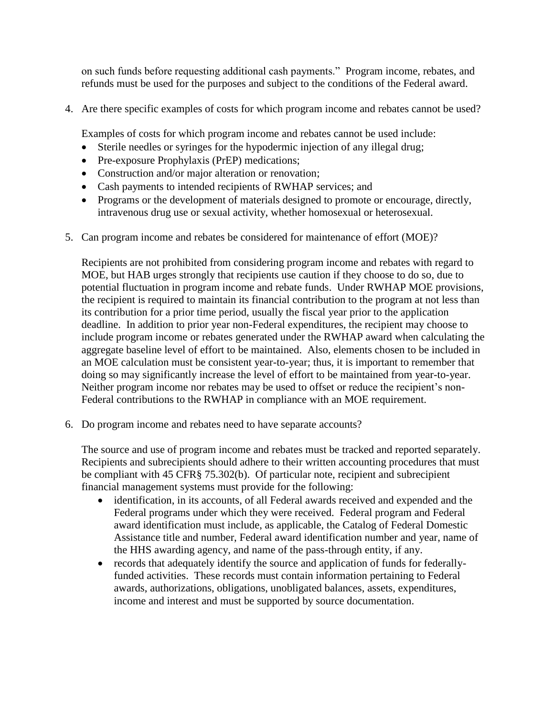on such funds before requesting additional cash payments." Program income, rebates, and refunds must be used for the purposes and subject to the conditions of the Federal award.

4. Are there specific examples of costs for which program income and rebates cannot be used?

Examples of costs for which program income and rebates cannot be used include:

- Sterile needles or syringes for the hypodermic injection of any illegal drug;
- Pre-exposure Prophylaxis (PrEP) medications;
- Construction and/or major alteration or renovation;
- Cash payments to intended recipients of RWHAP services; and
- Programs or the development of materials designed to promote or encourage, directly, intravenous drug use or sexual activity, whether homosexual or heterosexual.
- 5. Can program income and rebates be considered for maintenance of effort (MOE)?

Recipients are not prohibited from considering program income and rebates with regard to MOE, but HAB urges strongly that recipients use caution if they choose to do so, due to potential fluctuation in program income and rebate funds. Under RWHAP MOE provisions, the recipient is required to maintain its financial contribution to the program at not less than its contribution for a prior time period, usually the fiscal year prior to the application deadline. In addition to prior year non-Federal expenditures, the recipient may choose to include program income or rebates generated under the RWHAP award when calculating the aggregate baseline level of effort to be maintained. Also, elements chosen to be included in an MOE calculation must be consistent year-to-year; thus, it is important to remember that doing so may significantly increase the level of effort to be maintained from year-to-year. Neither program income nor rebates may be used to offset or reduce the recipient's non-Federal contributions to the RWHAP in compliance with an MOE requirement.

6. Do program income and rebates need to have separate accounts?

The source and use of program income and rebates must be tracked and reported separately. Recipients and subrecipients should adhere to their written accounting procedures that must be compliant with 45 CFR§ 75.302(b). Of particular note, recipient and subrecipient financial management systems must provide for the following:

- identification, in its accounts, of all Federal awards received and expended and the Federal programs under which they were received. Federal program and Federal award identification must include, as applicable, the Catalog of Federal Domestic Assistance title and number, Federal award identification number and year, name of the HHS awarding agency, and name of the pass-through entity, if any.
- records that adequately identify the source and application of funds for federallyfunded activities. These records must contain information pertaining to Federal awards, authorizations, obligations, unobligated balances, assets, expenditures, income and interest and must be supported by source documentation.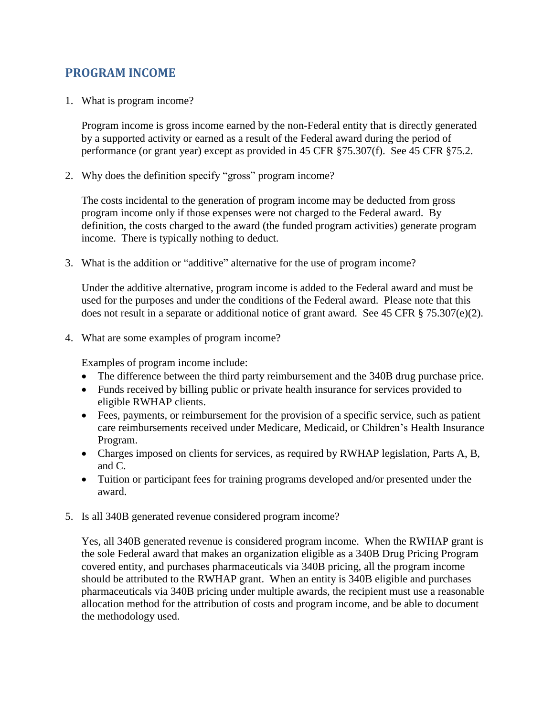# **PROGRAM INCOME**

1. What is program income?

Program income is gross income earned by the non-Federal entity that is directly generated by a supported activity or earned as a result of the Federal award during the period of performance (or grant year) except as provided in 45 CFR §75.307(f). See 45 CFR §75.2.

2. Why does the definition specify "gross" program income?

The costs incidental to the generation of program income may be deducted from gross program income only if those expenses were not charged to the Federal award. By definition, the costs charged to the award (the funded program activities) generate program income. There is typically nothing to deduct.

3. What is the addition or "additive" alternative for the use of program income?

Under the additive alternative, program income is added to the Federal award and must be used for the purposes and under the conditions of the Federal award. Please note that this does not result in a separate or additional notice of grant award. See 45 CFR § 75.307(e)(2).

4. What are some examples of program income?

Examples of program income include:

- The difference between the third party reimbursement and the 340B drug purchase price.
- Funds received by billing public or private health insurance for services provided to eligible RWHAP clients.
- Fees, payments, or reimbursement for the provision of a specific service, such as patient care reimbursements received under Medicare, Medicaid, or Children's Health Insurance Program.
- Charges imposed on clients for services, as required by RWHAP legislation, Parts A, B, and C.
- Tuition or participant fees for training programs developed and/or presented under the award.
- 5. Is all 340B generated revenue considered program income?

Yes, all 340B generated revenue is considered program income. When the RWHAP grant is the sole Federal award that makes an organization eligible as a 340B Drug Pricing Program covered entity, and purchases pharmaceuticals via 340B pricing, all the program income should be attributed to the RWHAP grant. When an entity is 340B eligible and purchases pharmaceuticals via 340B pricing under multiple awards, the recipient must use a reasonable allocation method for the attribution of costs and program income, and be able to document the methodology used.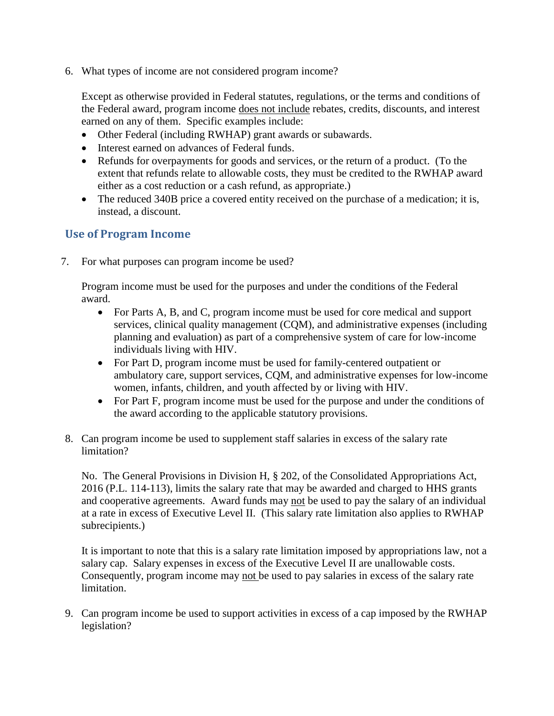6. What types of income are not considered program income?

Except as otherwise provided in Federal statutes, regulations, or the terms and conditions of the Federal award, program income does not include rebates, credits, discounts, and interest earned on any of them. Specific examples include:

- Other Federal (including RWHAP) grant awards or subawards.
- Interest earned on advances of Federal funds.
- Refunds for overpayments for goods and services, or the return of a product. (To the extent that refunds relate to allowable costs, they must be credited to the RWHAP award either as a cost reduction or a cash refund, as appropriate.)
- The reduced 340B price a covered entity received on the purchase of a medication; it is, instead, a discount.

#### **Use of Program Income**

7. For what purposes can program income be used?

Program income must be used for the purposes and under the conditions of the Federal award.

- For Parts A, B, and C, program income must be used for core medical and support services, clinical quality management (CQM), and administrative expenses (including planning and evaluation) as part of a comprehensive system of care for low-income individuals living with HIV.
- For Part D, program income must be used for family-centered outpatient or ambulatory care, support services, CQM, and administrative expenses for low-income women, infants, children, and youth affected by or living with HIV.
- For Part F, program income must be used for the purpose and under the conditions of the award according to the applicable statutory provisions.
- 8. Can program income be used to supplement staff salaries in excess of the salary rate limitation?

No. The General Provisions in Division H, § 202, of the Consolidated Appropriations Act, 2016 (P.L. 114-113), limits the salary rate that may be awarded and charged to HHS grants and cooperative agreements. Award funds may not be used to pay the salary of an individual at a rate in excess of Executive Level II. (This salary rate limitation also applies to RWHAP subrecipients.)

It is important to note that this is a salary rate limitation imposed by appropriations law, not a salary cap. Salary expenses in excess of the Executive Level II are unallowable costs. Consequently, program income may not be used to pay salaries in excess of the salary rate limitation.

9. Can program income be used to support activities in excess of a cap imposed by the RWHAP legislation?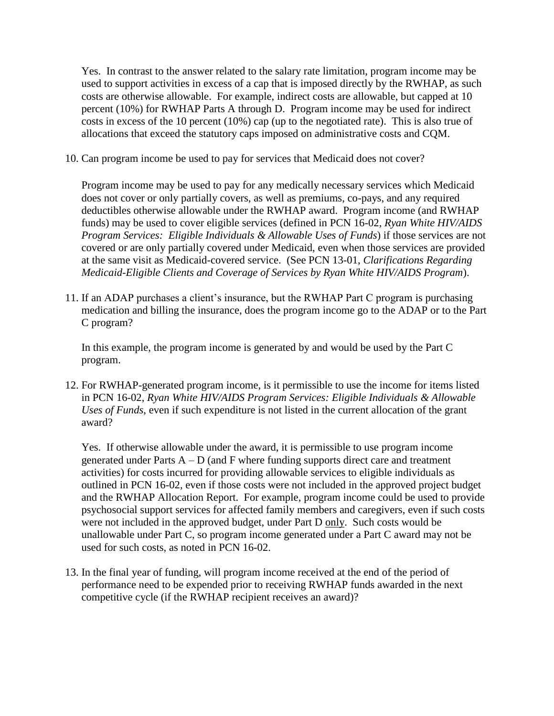Yes. In contrast to the answer related to the salary rate limitation, program income may be used to support activities in excess of a cap that is imposed directly by the RWHAP, as such costs are otherwise allowable. For example, indirect costs are allowable, but capped at 10 percent (10%) for RWHAP Parts A through D. Program income may be used for indirect costs in excess of the 10 percent (10%) cap (up to the negotiated rate). This is also true of allocations that exceed the statutory caps imposed on administrative costs and CQM.

10. Can program income be used to pay for services that Medicaid does not cover?

Program income may be used to pay for any medically necessary services which Medicaid does not cover or only partially covers, as well as premiums, co-pays, and any required deductibles otherwise allowable under the RWHAP award. Program income (and RWHAP funds) may be used to cover eligible services (defined in PCN 16-02, *Ryan White HIV/AIDS Program Services: Eligible Individuals & Allowable Uses of Funds*) if those services are not covered or are only partially covered under Medicaid, even when those services are provided at the same visit as Medicaid-covered service. (See PCN 13-01, *Clarifications Regarding Medicaid-Eligible Clients and Coverage of Services by Ryan White HIV/AIDS Program*).

11. If an ADAP purchases a client's insurance, but the RWHAP Part C program is purchasing medication and billing the insurance, does the program income go to the ADAP or to the Part C program?

In this example, the program income is generated by and would be used by the Part C program.

12. For RWHAP-generated program income, is it permissible to use the income for items listed in PCN 16-02, *Ryan White HIV/AIDS Program Services: Eligible Individuals & Allowable Uses of Funds*, even if such expenditure is not listed in the current allocation of the grant award?

Yes. If otherwise allowable under the award, it is permissible to use program income generated under Parts  $A - D$  (and F where funding supports direct care and treatment activities) for costs incurred for providing allowable services to eligible individuals as outlined in PCN 16-02, even if those costs were not included in the approved project budget and the RWHAP Allocation Report. For example, program income could be used to provide psychosocial support services for affected family members and caregivers, even if such costs were not included in the approved budget, under Part D only. Such costs would be unallowable under Part C, so program income generated under a Part C award may not be used for such costs, as noted in PCN 16-02.

13. In the final year of funding, will program income received at the end of the period of performance need to be expended prior to receiving RWHAP funds awarded in the next competitive cycle (if the RWHAP recipient receives an award)?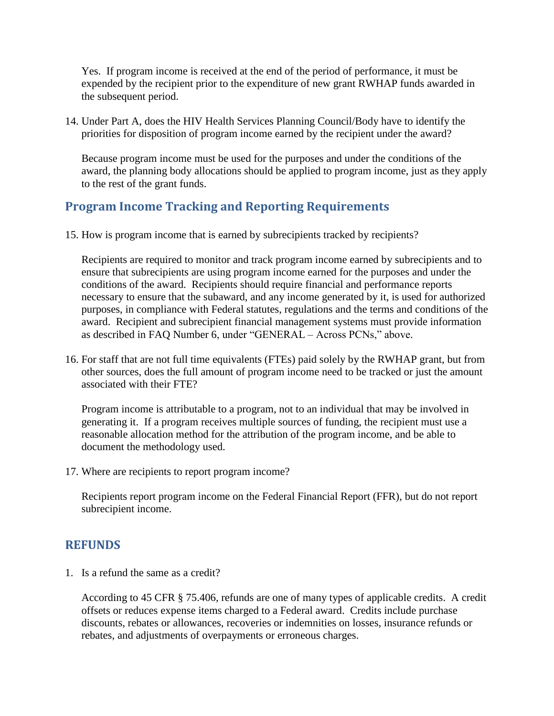Yes. If program income is received at the end of the period of performance, it must be expended by the recipient prior to the expenditure of new grant RWHAP funds awarded in the subsequent period.

14. Under Part A, does the HIV Health Services Planning Council/Body have to identify the priorities for disposition of program income earned by the recipient under the award?

Because program income must be used for the purposes and under the conditions of the award, the planning body allocations should be applied to program income, just as they apply to the rest of the grant funds.

# **Program Income Tracking and Reporting Requirements**

15. How is program income that is earned by subrecipients tracked by recipients?

Recipients are required to monitor and track program income earned by subrecipients and to ensure that subrecipients are using program income earned for the purposes and under the conditions of the award. Recipients should require financial and performance reports necessary to ensure that the subaward, and any income generated by it, is used for authorized purposes, in compliance with Federal statutes, regulations and the terms and conditions of the award. Recipient and subrecipient financial management systems must provide information as described in FAQ Number 6, under "GENERAL – Across PCNs," above.

16. For staff that are not full time equivalents (FTEs) paid solely by the RWHAP grant, but from other sources, does the full amount of program income need to be tracked or just the amount associated with their FTE?

Program income is attributable to a program, not to an individual that may be involved in generating it. If a program receives multiple sources of funding, the recipient must use a reasonable allocation method for the attribution of the program income, and be able to document the methodology used.

17. Where are recipients to report program income?

Recipients report program income on the Federal Financial Report (FFR), but do not report subrecipient income.

# **REFUNDS**

1. Is a refund the same as a credit?

According to 45 CFR § 75.406, refunds are one of many types of applicable credits. A credit offsets or reduces expense items charged to a Federal award. Credits include purchase discounts, rebates or allowances, recoveries or indemnities on losses, insurance refunds or rebates, and adjustments of overpayments or erroneous charges.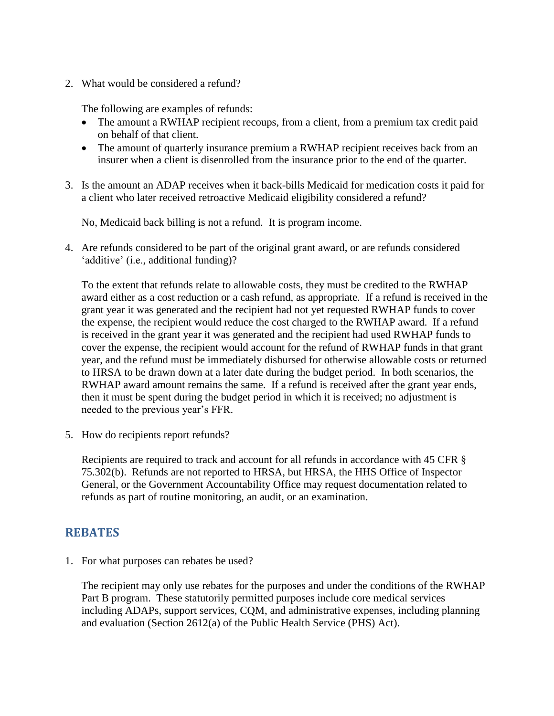2. What would be considered a refund?

The following are examples of refunds:

- The amount a RWHAP recipient recoups, from a client, from a premium tax credit paid on behalf of that client.
- The amount of quarterly insurance premium a RWHAP recipient receives back from an insurer when a client is disenrolled from the insurance prior to the end of the quarter.
- 3. Is the amount an ADAP receives when it back-bills Medicaid for medication costs it paid for a client who later received retroactive Medicaid eligibility considered a refund?

No, Medicaid back billing is not a refund. It is program income.

4. Are refunds considered to be part of the original grant award, or are refunds considered 'additive' (i.e., additional funding)?

To the extent that refunds relate to allowable costs, they must be credited to the RWHAP award either as a cost reduction or a cash refund, as appropriate. If a refund is received in the grant year it was generated and the recipient had not yet requested RWHAP funds to cover the expense, the recipient would reduce the cost charged to the RWHAP award. If a refund is received in the grant year it was generated and the recipient had used RWHAP funds to cover the expense, the recipient would account for the refund of RWHAP funds in that grant year, and the refund must be immediately disbursed for otherwise allowable costs or returned to HRSA to be drawn down at a later date during the budget period. In both scenarios, the RWHAP award amount remains the same. If a refund is received after the grant year ends, then it must be spent during the budget period in which it is received; no adjustment is needed to the previous year's FFR.

5. How do recipients report refunds?

Recipients are required to track and account for all refunds in accordance with 45 CFR § 75.302(b). Refunds are not reported to HRSA, but HRSA, the HHS Office of Inspector General, or the Government Accountability Office may request documentation related to refunds as part of routine monitoring, an audit, or an examination.

# **REBATES**

1. For what purposes can rebates be used?

The recipient may only use rebates for the purposes and under the conditions of the RWHAP Part B program. These statutorily permitted purposes include core medical services including ADAPs, support services, CQM, and administrative expenses, including planning and evaluation (Section 2612(a) of the Public Health Service (PHS) Act).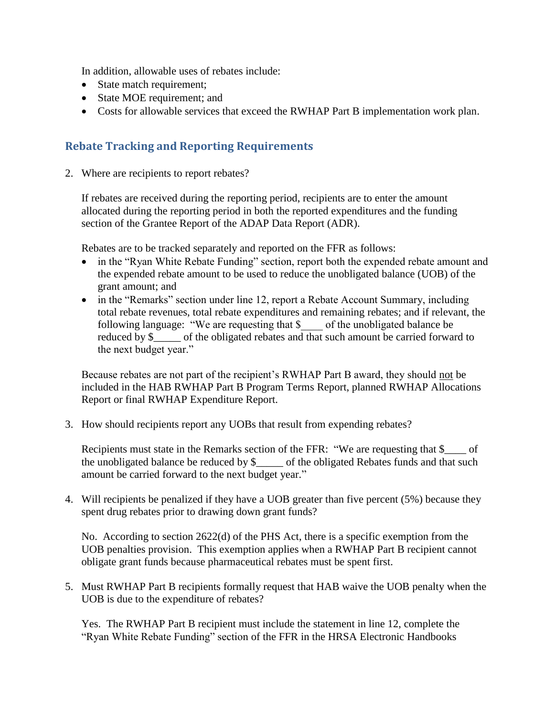In addition, allowable uses of rebates include:

- State match requirement;
- State MOE requirement; and
- Costs for allowable services that exceed the RWHAP Part B implementation work plan.

#### **Rebate Tracking and Reporting Requirements**

2. Where are recipients to report rebates?

If rebates are received during the reporting period, recipients are to enter the amount allocated during the reporting period in both the reported expenditures and the funding section of the Grantee Report of the ADAP Data Report (ADR).

Rebates are to be tracked separately and reported on the FFR as follows:

- in the "Ryan White Rebate Funding" section, report both the expended rebate amount and the expended rebate amount to be used to reduce the unobligated balance (UOB) of the grant amount; and
- in the "Remarks" section under line 12, report a Rebate Account Summary, including total rebate revenues, total rebate expenditures and remaining rebates; and if relevant, the following language: "We are requesting that \$\_\_\_\_ of the unobligated balance be reduced by \$\_\_\_\_\_ of the obligated rebates and that such amount be carried forward to the next budget year."

Because rebates are not part of the recipient's RWHAP Part B award, they should not be included in the HAB RWHAP Part B Program Terms Report, planned RWHAP Allocations Report or final RWHAP Expenditure Report.

3. How should recipients report any UOBs that result from expending rebates?

Recipients must state in the Remarks section of the FFR: "We are requesting that \$  $\qquad$  of the unobligated balance be reduced by \$\_\_\_\_\_ of the obligated Rebates funds and that such amount be carried forward to the next budget year."

4. Will recipients be penalized if they have a UOB greater than five percent (5%) because they spent drug rebates prior to drawing down grant funds?

No. According to section 2622(d) of the PHS Act, there is a specific exemption from the UOB penalties provision. This exemption applies when a RWHAP Part B recipient cannot obligate grant funds because pharmaceutical rebates must be spent first.

5. Must RWHAP Part B recipients formally request that HAB waive the UOB penalty when the UOB is due to the expenditure of rebates?

Yes. The RWHAP Part B recipient must include the statement in line 12, complete the "Ryan White Rebate Funding" section of the FFR in the HRSA Electronic Handbooks